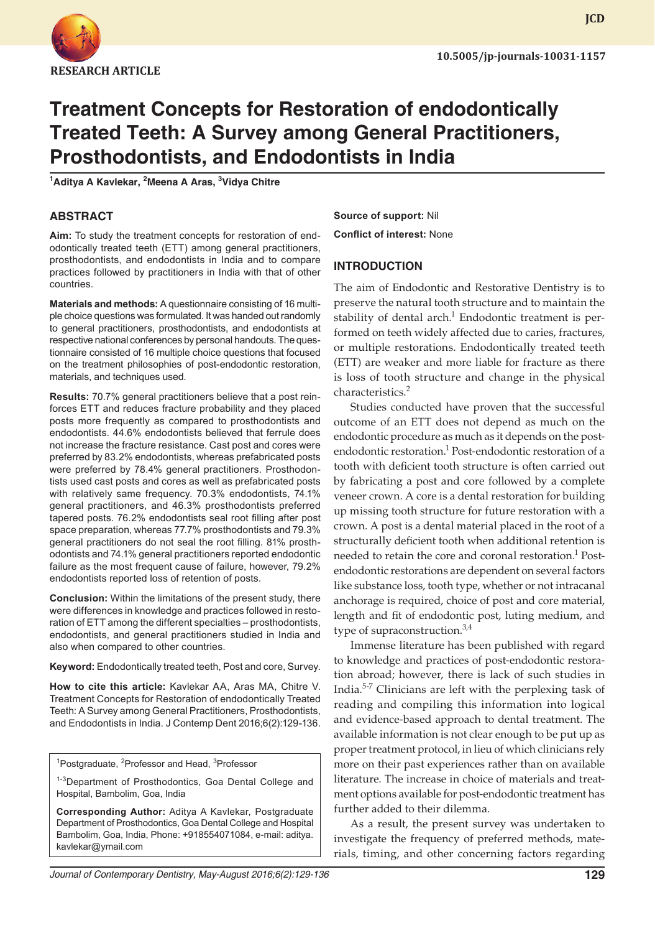

# **Treatment Concepts for Restoration of endodontically Treated Teeth: A Survey among General Practitioners, Prosthodontists, and Endodontists in India**

**1 Aditya A Kavlekar, <sup>2</sup> Meena A Aras, <sup>3</sup> Vidya Chitre**

### **ABSTRACT**

**Aim:** To study the treatment concepts for restoration of endodontically treated teeth (ETT) among general practitioners, prosthodontists, and endodontists in India and to compare practices followed by practitioners in India with that of other countries.

**Materials and methods:** A questionnaire consisting of 16 multiple choice questions was formulated. It was handed out randomly to general practitioners, prosthodontists, and endodontists at respective national conferences by personal handouts. The questionnaire consisted of 16 multiple choice questions that focused on the treatment philosophies of post-endodontic restoration, materials, and techniques used.

**Results:** 70.7% general practitioners believe that a post reinforces ETT and reduces fracture probability and they placed posts more frequently as compared to prosthodontists and endodontists. 44.6% endodontists believed that ferrule does not increase the fracture resistance. Cast post and cores were preferred by 83.2% endodontists, whereas prefabricated posts were preferred by 78.4% general practitioners. Prosthodontists used cast posts and cores as well as prefabricated posts with relatively same frequency. 70.3% endodontists, 74.1% general practitioners, and 46.3% prosthodontists preferred tapered posts. 76.2% endodontists seal root filling after post space preparation, whereas 77.7% prosthodontists and 79.3% general practitioners do not seal the root filling. 81% prosthodontists and 74.1% general practitioners reported endodontic failure as the most frequent cause of failure, however, 79.2% endodontists reported loss of retention of posts.

**Conclusion:** Within the limitations of the present study, there were differences in knowledge and practices followed in restoration of ETT among the different specialties – prosthodontists, endodontists, and general practitioners studied in India and also when compared to other countries.

**Keyword:** Endodontically treated teeth, Post and core, Survey.

**How to cite this article:** Kavlekar AA, Aras MA, Chitre V. Treatment Concepts for Restoration of endodontically Treated Teeth: A Survey among General Practitioners, Prosthodontists, and Endodontists in India. J Contemp Dent 2016;6(2):129-136.

<sup>1</sup>Postgraduate, <sup>2</sup>Professor and Head, <sup>3</sup>Professor

<sup>1-3</sup>Department of Prosthodontics, Goa Dental College and Hospital, Bambolim, Goa, India

**Corresponding Author:** Aditya A Kavlekar, Postgraduate Department of Prosthodontics, Goa Dental College and Hospital Bambolim, Goa, India, Phone: +918554071084, e-mail: aditya. kavlekar@ymail.com

**Source of support:** Nil **Conflict of interest:** None

### **INTRODUCTION**

The aim of Endodontic and Restorative Dentistry is to preserve the natural tooth structure and to maintain the stability of dental arch. $^1$  Endodontic treatment is performed on teeth widely affected due to caries, fractures, or multiple restorations. Endodontically treated teeth (ETT) are weaker and more liable for fracture as there is loss of tooth structure and change in the physical characteristics.<sup>2</sup>

Studies conducted have proven that the successful outcome of an ETT does not depend as much on the endodontic procedure as much as it depends on the postendodontic restoration.<sup>1</sup> Post-endodontic restoration of a tooth with deficient tooth structure is often carried out by fabricating a post and core followed by a complete veneer crown. A core is a dental restoration for building up missing tooth structure for future restoration with a crown. A post is a dental material placed in the root of a structurally deficient tooth when additional retention is needed to retain the core and coronal restoration.<sup>1</sup> Postendodontic restorations are dependent on several factors like substance loss, tooth type, whether or not intracanal anchorage is required, choice of post and core material, length and fit of endodontic post, luting medium, and type of supraconstruction. $3,4$ 

Immense literature has been published with regard to knowledge and practices of post-endodontic restoration abroad; however, there is lack of such studies in India.5-7 Clinicians are left with the perplexing task of reading and compiling this information into logical and evidence-based approach to dental treatment. The available information is not clear enough to be put up as proper treatment protocol, in lieu of which clinicians rely more on their past experiences rather than on available literature. The increase in choice of materials and treatment options available for post-endodontic treatment has further added to their dilemma.

As a result, the present survey was undertaken to investigate the frequency of preferred methods, materials, timing, and other concerning factors regarding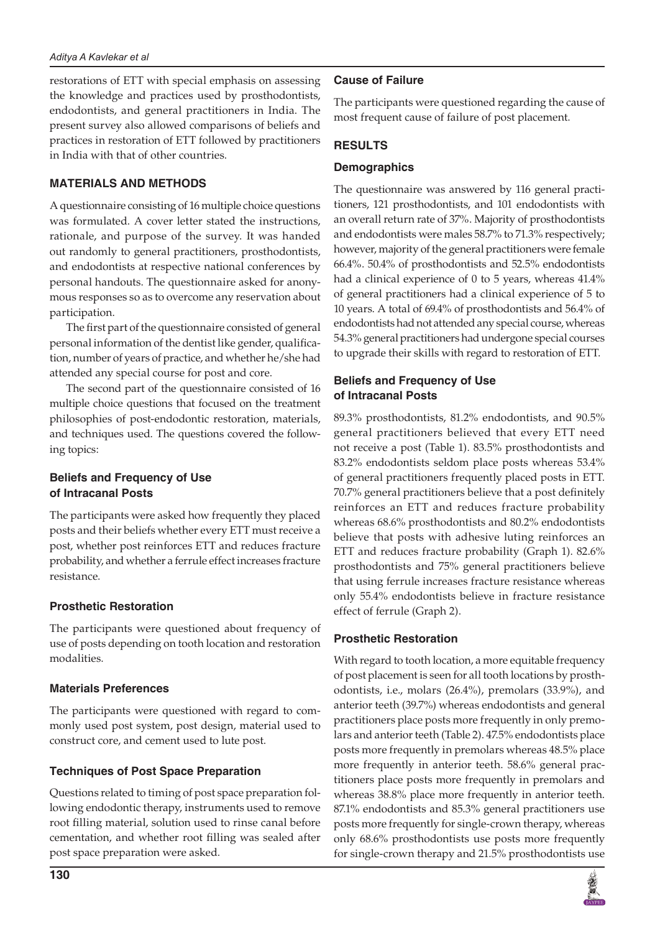restorations of ETT with special emphasis on assessing the knowledge and practices used by prosthodontists, endodontists, and general practitioners in India. The present survey also allowed comparisons of beliefs and practices in restoration of ETT followed by practitioners in India with that of other countries.

## **MATERIALS AND METHODS**

A questionnaire consisting of 16 multiple choice questions was formulated. A cover letter stated the instructions, rationale, and purpose of the survey. It was handed out randomly to general practitioners, prosthodontists, and endodontists at respective national conferences by personal handouts. The questionnaire asked for anonymous responses so as to overcome any reservation about participation.

The first part of the questionnaire consisted of general personal information of the dentist like gender, qualification, number of years of practice, and whether he/she had attended any special course for post and core.

The second part of the questionnaire consisted of 16 multiple choice questions that focused on the treatment philosophies of post-endodontic restoration, materials, and techniques used. The questions covered the following topics:

# **Beliefs and Frequency of Use of Intracanal Posts**

The participants were asked how frequently they placed posts and their beliefs whether every ETT must receive a post, whether post reinforces ETT and reduces fracture probability, and whether a ferrule effect increases fracture resistance.

# **Prosthetic Restoration**

The participants were questioned about frequency of use of posts depending on tooth location and restoration modalities.

## **Materials Preferences**

The participants were questioned with regard to commonly used post system, post design, material used to construct core, and cement used to lute post.

# **Techniques of Post Space Preparation**

Questions related to timing of post space preparation following endodontic therapy, instruments used to remove root filling material, solution used to rinse canal before cementation, and whether root filling was sealed after post space preparation were asked.

## **Cause of Failure**

The participants were questioned regarding the cause of most frequent cause of failure of post placement.

## **RESULTS**

## **Demographics**

The questionnaire was answered by 116 general practitioners, 121 prosthodontists, and 101 endodontists with an overall return rate of 37%. Majority of prosthodontists and endodontists were males 58.7% to 71.3% respectively; however, majority of the general practitioners were female 66.4%. 50.4% of prosthodontists and 52.5% endodontists had a clinical experience of 0 to 5 years, whereas 41.4% of general practitioners had a clinical experience of 5 to 10 years. A total of 69.4% of prosthodontists and 56.4% of endodontists had not attended any special course, whereas 54.3% general practitioners had undergone special courses to upgrade their skills with regard to restoration of ETT.

## **Beliefs and Frequency of Use of Intracanal Posts**

89.3% prosthodontists, 81.2% endodontists, and 90.5% general practitioners believed that every ETT need not receive a post (Table 1). 83.5% prosthodontists and 83.2% endodontists seldom place posts whereas 53.4% of general practitioners frequently placed posts in ETT. 70.7% general practitioners believe that a post definitely reinforces an ETT and reduces fracture probability whereas 68.6% prosthodontists and 80.2% endodontists believe that posts with adhesive luting reinforces an ETT and reduces fracture probability (Graph 1). 82.6% prosthodontists and 75% general practitioners believe that using ferrule increases fracture resistance whereas only 55.4% endodontists believe in fracture resistance effect of ferrule (Graph 2).

# **Prosthetic Restoration**

With regard to tooth location, a more equitable frequency of post placement is seen for all tooth locations by prosthodontists, i.e., molars (26.4%), premolars (33.9%), and anterior teeth (39.7%) whereas endodontists and general practitioners place posts more frequently in only premolars and anterior teeth (Table 2). 47.5% endodontists place posts more frequently in premolars whereas 48.5% place more frequently in anterior teeth. 58.6% general practitioners place posts more frequently in premolars and whereas 38.8% place more frequently in anterior teeth. 87.1% endodontists and 85.3% general practitioners use posts more frequently for single-crown therapy, whereas only 68.6% prosthodontists use posts more frequently for single-crown therapy and 21.5% prosthodontists use

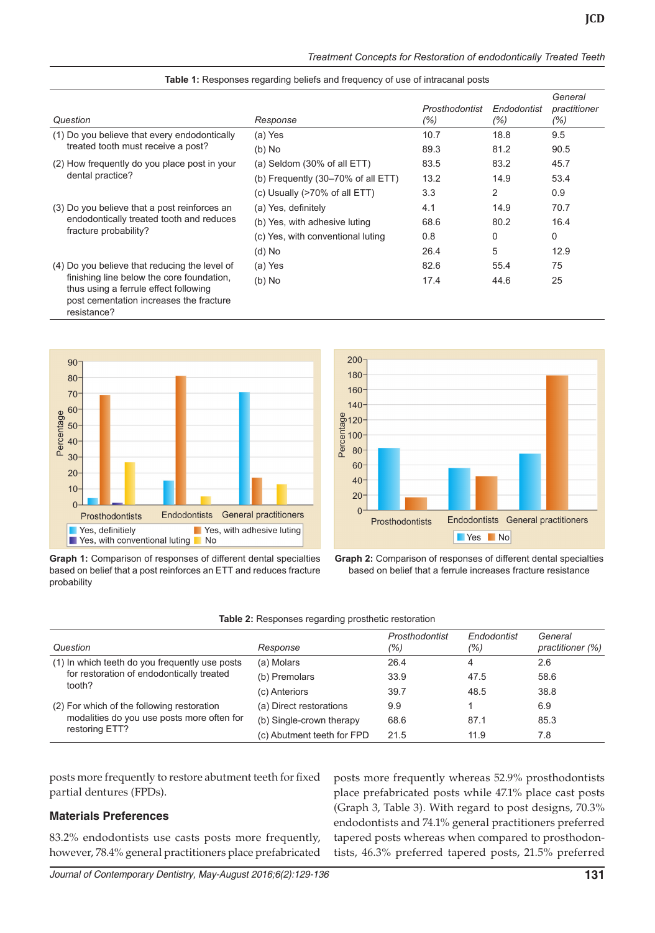|  | Treatment Concepts for Restoration of endodontically Treated Teeth |  |
|--|--------------------------------------------------------------------|--|

| Question                                                                                                                                     | Response                                      | Prosthodontist<br>(%) | Endodontist<br>(%) | General<br>practitioner<br>(%) |
|----------------------------------------------------------------------------------------------------------------------------------------------|-----------------------------------------------|-----------------------|--------------------|--------------------------------|
| (1) Do you believe that every endodontically                                                                                                 | (a) Yes                                       | 10.7                  | 18.8               | 9.5                            |
| treated tooth must receive a post?                                                                                                           | $(b)$ No                                      | 89.3                  | 81.2               | 90.5                           |
| (2) How frequently do you place post in your                                                                                                 | (a) Seldom $(30\% \text{ of all ETT})$        | 83.5                  | 83.2               | 45.7                           |
| dental practice?                                                                                                                             | (b) Frequently $(30-70\% \text{ of all ETT})$ | 13.2                  | 14.9               | 53.4                           |
|                                                                                                                                              | (c) Usually (>70% of all ETT)                 | 3.3                   | 2                  | 0.9                            |
| (3) Do you believe that a post reinforces an                                                                                                 | (a) Yes, definitely                           | 4.1                   | 14.9               | 70.7                           |
| endodontically treated tooth and reduces                                                                                                     | (b) Yes, with adhesive luting                 | 68.6                  | 80.2               | 16.4                           |
| fracture probability?                                                                                                                        | (c) Yes, with conventional luting             | 0.8                   | 0                  | 0                              |
|                                                                                                                                              | $(d)$ No                                      | 26.4                  | 5                  | 12.9                           |
| (4) Do you believe that reducing the level of                                                                                                | (a) Yes                                       | 82.6                  | 55.4               | 75                             |
| finishing line below the core foundation,<br>thus using a ferrule effect following<br>post cementation increases the fracture<br>resistance? | $(b)$ No                                      | 17.4                  | 44.6               | 25                             |





**Graph 1:** Comparison of responses of different dental specialties based on belief that a post reinforces an ETT and reduces fracture probability



**Graph 2:** Comparison of responses of different dental specialties based on belief that a ferrule increases fracture resistance

| Table 2: Responses regarding prosthetic restoration |
|-----------------------------------------------------|
|-----------------------------------------------------|

| Question                                                                                              | Response                   | Prosthodontist<br>(%) | Endodontist<br>(%) | General<br>practitioner (%) |
|-------------------------------------------------------------------------------------------------------|----------------------------|-----------------------|--------------------|-----------------------------|
| (1) In which teeth do you frequently use posts<br>for restoration of endodontically treated<br>tooth? | (a) Molars                 | 26.4                  | 4                  | 2.6                         |
|                                                                                                       | (b) Premolars              | 33.9                  | 47.5               | 58.6                        |
|                                                                                                       | (c) Anteriors              | 39.7                  | 48.5               | 38.8                        |
| (2) For which of the following restoration                                                            | (a) Direct restorations    | 9.9                   |                    | 6.9                         |
| modalities do you use posts more often for                                                            | (b) Single-crown therapy   | 68.6                  | 87.1               | 85.3                        |
| restoring ETT?                                                                                        | (c) Abutment teeth for FPD | 21.5                  | 11.9               | 7.8                         |

posts more frequently to restore abutment teeth for fixed partial dentures (FPDs).

#### **Materials Preferences**

83.2% endodontists use casts posts more frequently, however, 78.4% general practitioners place prefabricated posts more frequently whereas 52.9% prosthodontists place prefabricated posts while 47.1% place cast posts (Graph 3, Table 3). With regard to post designs, 70.3% endodontists and 74.1% general practitioners preferred tapered posts whereas when compared to prosthodontists, 46.3% preferred tapered posts, 21.5% preferred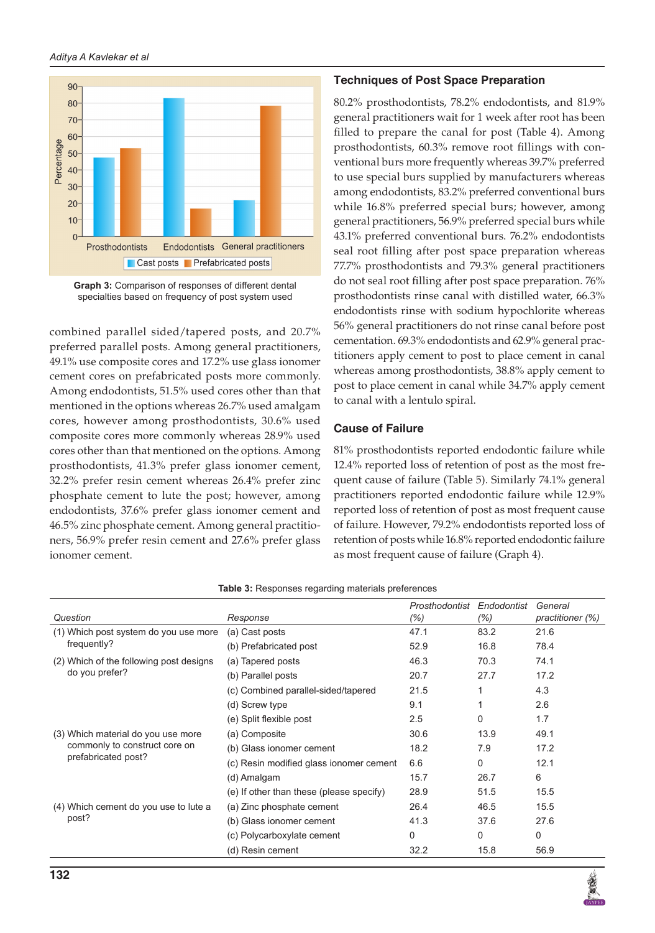



combined parallel sided/tapered posts, and 20.7% preferred parallel posts. Among general practitioners, 49.1% use composite cores and 17.2% use glass ionomer cement cores on prefabricated posts more commonly. Among endodontists, 51.5% used cores other than that mentioned in the options whereas 26.7% used amalgam cores, however among prosthodontists, 30.6% used composite cores more commonly whereas 28.9% used cores other than that mentioned on the options. Among prosthodontists, 41.3% prefer glass ionomer cement, 32.2% prefer resin cement whereas 26.4% prefer zinc phosphate cement to lute the post; however, among endodontists, 37.6% prefer glass ionomer cement and 46.5% zinc phosphate cement. Among general practitioners, 56.9% prefer resin cement and 27.6% prefer glass ionomer cement.

## **Techniques of Post Space Preparation**

80.2% prosthodontists, 78.2% endodontists, and 81.9% general practitioners wait for 1 week after root has been filled to prepare the canal for post (Table 4). Among prosthodontists, 60.3% remove root fillings with conventional burs more frequently whereas 39.7% preferred to use special burs supplied by manufacturers whereas among endodontists, 83.2% preferred conventional burs while 16.8% preferred special burs; however, among general practitioners, 56.9% preferred special burs while 43.1% preferred conventional burs. 76.2% endodontists seal root filling after post space preparation whereas 77.7% prosthodontists and 79.3% general practitioners do not seal root filling after post space preparation. 76% prosthodontists rinse canal with distilled water, 66.3% endodontists rinse with sodium hypochlorite whereas 56% general practitioners do not rinse canal before post cementation. 69.3% endodontists and 62.9% general practitioners apply cement to post to place cement in canal whereas among prosthodontists, 38.8% apply cement to post to place cement in canal while 34.7% apply cement to canal with a lentulo spiral.

## **Cause of Failure**

81% prosthodontists reported endodontic failure while 12.4% reported loss of retention of post as the most frequent cause of failure (Table 5). Similarly 74.1% general practitioners reported endodontic failure while 12.9% reported loss of retention of post as most frequent cause of failure. However, 79.2% endodontists reported loss of retention of posts while 16.8% reported endodontic failure as most frequent cause of failure (Graph 4).

|                                                                                            |                                          | Prosthodontist | Endodontist  | General          |
|--------------------------------------------------------------------------------------------|------------------------------------------|----------------|--------------|------------------|
| Question                                                                                   | Response                                 | $(\% )$        | (% )         | practitioner (%) |
| (1) Which post system do you use more                                                      | (a) Cast posts                           | 47.1           | 83.2         | 21.6             |
| frequently?                                                                                | (b) Prefabricated post                   | 52.9           | 16.8         | 78.4             |
| (2) Which of the following post designs                                                    | (a) Tapered posts                        | 46.3           | 70.3         | 74.1             |
| do you prefer?                                                                             | (b) Parallel posts                       | 20.7           | 27.7         | 17.2             |
|                                                                                            | (c) Combined parallel-sided/tapered      | 21.5           |              | 4.3              |
|                                                                                            | (d) Screw type                           | 9.1            |              | 2.6              |
|                                                                                            | (e) Split flexible post                  | 2.5            | $\mathbf{0}$ | 1.7              |
| (3) Which material do you use more<br>commonly to construct core on<br>prefabricated post? | (a) Composite                            | 30.6           | 13.9         | 49.1             |
|                                                                                            | (b) Glass ionomer cement                 | 18.2           | 7.9          | 17.2             |
|                                                                                            | (c) Resin modified glass ionomer cement  | 6.6            | 0            | 12.1             |
|                                                                                            | (d) Amalgam                              | 15.7           | 26.7         | 6                |
|                                                                                            | (e) If other than these (please specify) | 28.9           | 51.5         | 15.5             |
| (4) Which cement do you use to lute a                                                      | (a) Zinc phosphate cement                | 26.4           | 46.5         | 15.5             |
| post?                                                                                      | (b) Glass ionomer cement                 | 41.3           | 37.6         | 27.6             |
|                                                                                            | (c) Polycarboxylate cement               | $\Omega$       | 0            | 0                |
|                                                                                            | (d) Resin cement                         | 32.2           | 15.8         | 56.9             |

**Table 3:** Responses regarding materials preferences

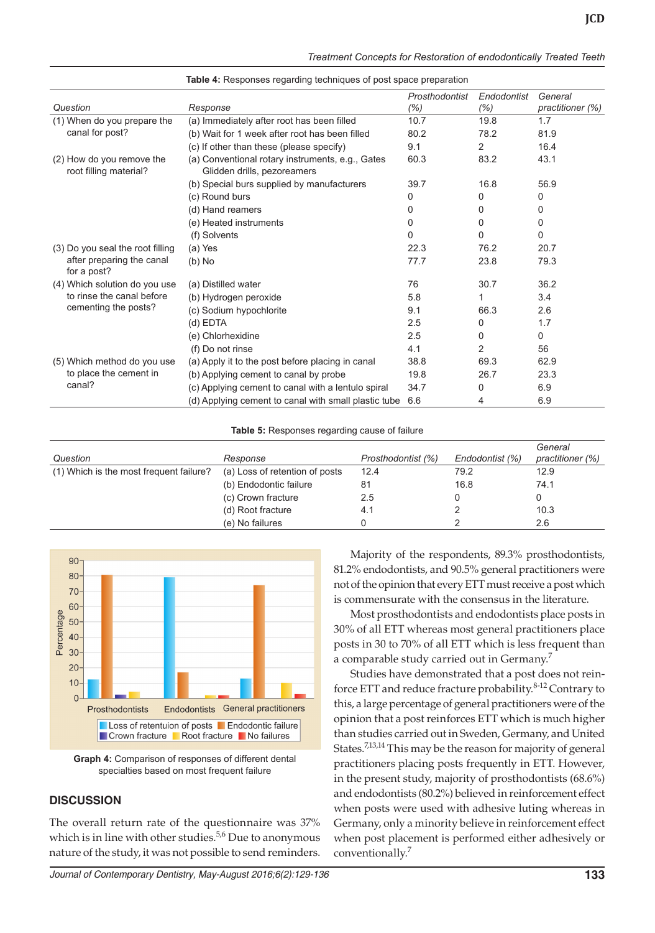|  | Treatment Concepts for Restoration of endodontically Treated Teeth |  |
|--|--------------------------------------------------------------------|--|
|  |                                                                    |  |

| Question                                            | Response                                                                        | Prosthodontist<br>$(\% )$ | Endodontist<br>$(\% )$ | General<br>practitioner (%) |
|-----------------------------------------------------|---------------------------------------------------------------------------------|---------------------------|------------------------|-----------------------------|
| (1) When do you prepare the                         | (a) Immediately after root has been filled                                      | 10.7                      | 19.8                   | 1.7                         |
| canal for post?                                     | (b) Wait for 1 week after root has been filled                                  | 80.2                      | 78.2                   | 81.9                        |
|                                                     | (c) If other than these (please specify)                                        | 9.1                       | 2                      | 16.4                        |
| (2) How do you remove the<br>root filling material? | (a) Conventional rotary instruments, e.g., Gates<br>Glidden drills, pezoreamers | 60.3                      | 83.2                   | 43.1                        |
|                                                     | (b) Special burs supplied by manufacturers                                      | 39.7                      | 16.8                   | 56.9                        |
|                                                     | (c) Round burs                                                                  | 0                         | 0                      | 0                           |
|                                                     | (d) Hand reamers                                                                | 0                         | 0                      | 0                           |
|                                                     | (e) Heated instruments                                                          | 0                         | 0                      | 0                           |
|                                                     | (f) Solvents                                                                    | 0                         | $\Omega$               | $\Omega$                    |
| (3) Do you seal the root filling                    | (a) Yes                                                                         | 22.3                      | 76.2                   | 20.7                        |
| after preparing the canal<br>for a post?            | $(b)$ No                                                                        | 77.7                      | 23.8                   | 79.3                        |
| (4) Which solution do you use                       | (a) Distilled water                                                             | 76                        | 30.7                   | 36.2                        |
| to rinse the canal before<br>cementing the posts?   | (b) Hydrogen peroxide                                                           | 5.8                       |                        | 3.4                         |
|                                                     | (c) Sodium hypochlorite                                                         | 9.1                       | 66.3                   | 2.6                         |
|                                                     | (d) EDTA                                                                        | 2.5                       | 0                      | 1.7                         |
|                                                     | (e) Chlorhexidine                                                               | 2.5                       | 0                      | 0                           |
|                                                     | (f) Do not rinse                                                                | 4.1                       | 2                      | 56                          |
| (5) Which method do you use                         | (a) Apply it to the post before placing in canal                                | 38.8                      | 69.3                   | 62.9                        |
| to place the cement in                              | (b) Applying cement to canal by probe                                           | 19.8                      | 26.7                   | 23.3                        |
| canal?                                              | (c) Applying cement to canal with a lentulo spiral                              | 34.7                      | 0                      | 6.9                         |
|                                                     | (d) Applying cement to canal with small plastic tube                            | 6.6                       | 4                      | 6.9                         |

**Table 4:** Responses regarding techniques of post space preparation

**Table 5:** Responses regarding cause of failure

|                                         |                                |                    |                 | General          |
|-----------------------------------------|--------------------------------|--------------------|-----------------|------------------|
| Question                                | Response                       | Prosthodontist (%) | Endodontist (%) | practitioner (%) |
| (1) Which is the most frequent failure? | (a) Loss of retention of posts | 12.4               | 79.2            | 12.9             |
|                                         | (b) Endodontic failure         | 81                 | 16.8            | 74.1             |
|                                         | (c) Crown fracture             | 2.5                |                 |                  |
|                                         | (d) Root fracture              | 4.1                |                 | 10.3             |
|                                         | (e) No failures                |                    |                 | 2.6              |



**Graph 4:** Comparison of responses of different dental specialties based on most frequent failure

### **DISCUSSION**

The overall return rate of the questionnaire was 37% which is in line with other studies. $5,6$  Due to anonymous nature of the study, it was not possible to send reminders.

*Journal of Contemporary Dentistry, May-August 2016;6(2):129-136* **133**

Majority of the respondents, 89.3% prosthodontists, 81.2% endodontists, and 90.5% general practitioners were not of the opinion that every ETT must receive a post which is commensurate with the consensus in the literature.

Most prosthodontists and endodontists place posts in 30% of all ETT whereas most general practitioners place posts in 30 to 70% of all ETT which is less frequent than a comparable study carried out in Germany.<sup>7</sup>

Studies have demonstrated that a post does not reinforce ETT and reduce fracture probability.<sup>8-12</sup> Contrary to this, a large percentage of general practitioners were of the opinion that a post reinforces ETT which is much higher than studies carried out in Sweden, Germany, and United States.<sup>7,13,14</sup> This may be the reason for majority of general practitioners placing posts frequently in ETT. However, in the present study, majority of prosthodontists (68.6%) and endodontists (80.2%) believed in reinforcement effect when posts were used with adhesive luting whereas in Germany, only a minority believe in reinforcement effect when post placement is performed either adhesively or conventionally.<sup>7</sup>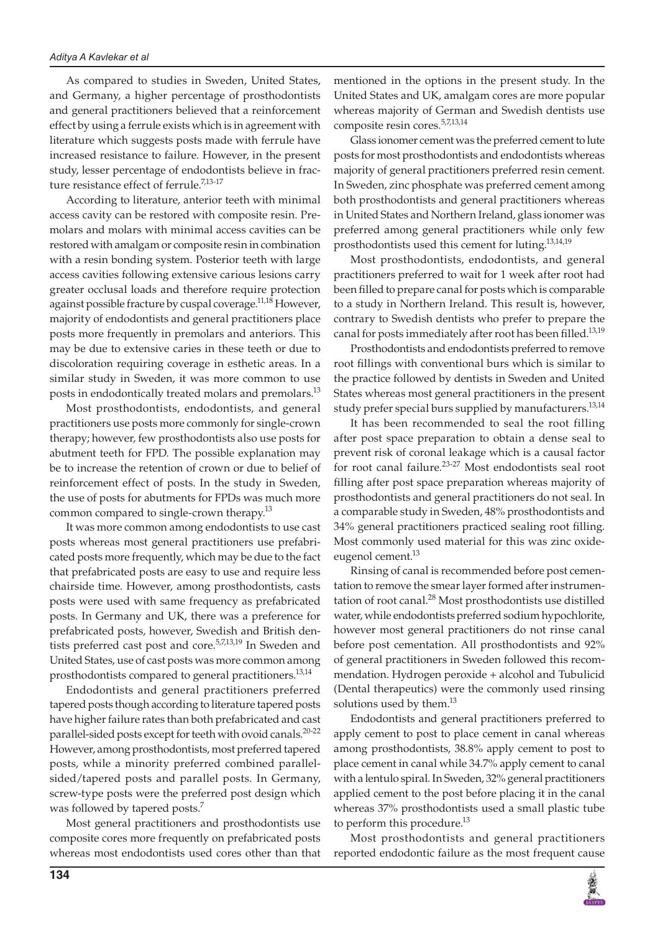As compared to studies in Sweden, United States, and Germany, a higher percentage of prosthodontists and general practitioners believed that a reinforcement effect by using a ferrule exists which is in agreement with literature which suggests posts made with ferrule have increased resistance to failure. However, in the present study, lesser percentage of endodontists believe in fracture resistance effect of ferrule.<sup>7,13-17</sup>

According to literature, anterior teeth with minimal access cavity can be restored with composite resin. Premolars and molars with minimal access cavities can be restored with amalgam or composite resin in combination with a resin bonding system. Posterior teeth with large access cavities following extensive carious lesions carry greater occlusal loads and therefore require protection against possible fracture by cuspal coverage.<sup>11,18</sup> However, majority of endodontists and general practitioners place posts more frequently in premolars and anteriors. This may be due to extensive caries in these teeth or due to discoloration requiring coverage in esthetic areas. In a similar study in Sweden, it was more common to use posts in endodontically treated molars and premolars.<sup>13</sup>

Most prosthodontists, endodontists, and general practitioners use posts more commonly for single-crown therapy; however, few prosthodontists also use posts for abutment teeth for FPD. The possible explanation may be to increase the retention of crown or due to belief of reinforcement effect of posts. In the study in Sweden, the use of posts for abutments for FPDs was much more common compared to single-crown therapy.<sup>13</sup>

It was more common among endodontists to use cast posts whereas most general practitioners use prefabricated posts more frequently, which may be due to the fact that prefabricated posts are easy to use and require less chairside time. However, among prosthodontists, casts posts were used with same frequency as prefabricated posts. In Germany and UK, there was a preference for prefabricated posts, however, Swedish and British dentists preferred cast post and core.<sup>5,7,13,19</sup> In Sweden and United States, use of cast posts was more common among prosthodontists compared to general practitioners.<sup>13,14</sup>

Endodontists and general practitioners preferred tapered posts though according to literature tapered posts have higher failure rates than both prefabricated and cast parallel-sided posts except for teeth with ovoid canals.<sup>20-22</sup> However, among prosthodontists, most preferred tapered posts, while a minority preferred combined parallelsided/tapered posts and parallel posts. In Germany, screw-type posts were the preferred post design which was followed by tapered posts.<sup>7</sup>

Most general practitioners and prosthodontists use composite cores more frequently on prefabricated posts whereas most endodontists used cores other than that mentioned in the options in the present study. In the United States and UK, amalgam cores are more popular whereas majority of German and Swedish dentists use composite resin cores.5,7,13,14

Glass ionomer cement was the preferred cement to lute posts for most prosthodontists and endodontists whereas majority of general practitioners preferred resin cement. In Sweden, zinc phosphate was preferred cement among both prosthodontists and general practitioners whereas in United States and Northern Ireland, glass ionomer was preferred among general practitioners while only few prosthodontists used this cement for luting.13,14,19

Most prosthodontists, endodontists, and general practitioners preferred to wait for 1 week after root had been filled to prepare canal for posts which is comparable to a study in Northern Ireland. This result is, however, contrary to Swedish dentists who prefer to prepare the canal for posts immediately after root has been filled.<sup>13,19</sup>

Prosthodontists and endodontists preferred to remove root fillings with conventional burs which is similar to the practice followed by dentists in Sweden and United States whereas most general practitioners in the present study prefer special burs supplied by manufacturers.<sup>13,14</sup>

It has been recommended to seal the root filling after post space preparation to obtain a dense seal to prevent risk of coronal leakage which is a causal factor for root canal failure.<sup>23-27</sup> Most endodontists seal root filling after post space preparation whereas majority of prosthodontists and general practitioners do not seal. In a comparable study in Sweden, 48% prosthodontists and 34% general practitioners practiced sealing root filling. Most commonly used material for this was zinc oxideeugenol cement.<sup>13</sup>

Rinsing of canal is recommended before post cementation to remove the smear layer formed after instrumentation of root canal.<sup>28</sup> Most prosthodontists use distilled water, while endodontists preferred sodium hypochlorite, however most general practitioners do not rinse canal before post cementation. All prosthodontists and 92% of general practitioners in Sweden followed this recommendation. Hydrogen peroxide + alcohol and Tubulicid (Dental therapeutics) were the commonly used rinsing solutions used by them. $^{13}$ 

Endodontists and general practitioners preferred to apply cement to post to place cement in canal whereas among prosthodontists, 38.8% apply cement to post to place cement in canal while 34.7% apply cement to canal with a lentulo spiral. In Sweden, 32% general practitioners applied cement to the post before placing it in the canal whereas 37% prosthodontists used a small plastic tube to perform this procedure.<sup>13</sup>

Most prosthodontists and general practitioners reported endodontic failure as the most frequent cause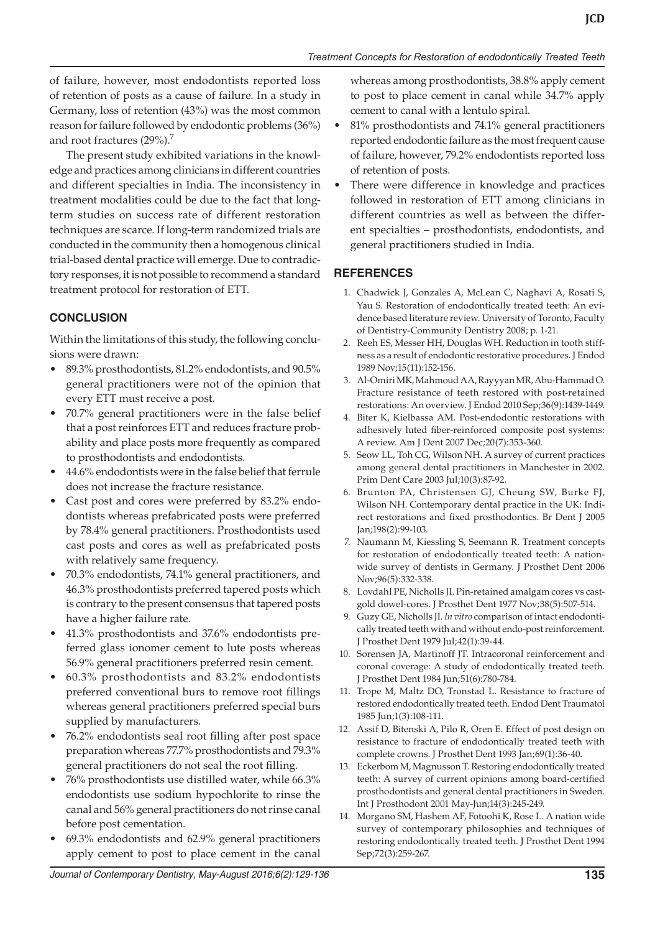of failure, however, most endodontists reported loss of retention of posts as a cause of failure. In a study in Germany, loss of retention (43%) was the most common reason for failure followed by endodontic problems (36%) and root fractures (29%).<sup>7</sup>

The present study exhibited variations in the knowledge and practices among clinicians in different countries and different specialties in India. The inconsistency in treatment modalities could be due to the fact that longterm studies on success rate of different restoration techniques are scarce. If long-term randomized trials are conducted in the community then a homogenous clinical trial-based dental practice will emerge. Due to contradictory responses, it is not possible to recommend a standard treatment protocol for restoration of ETT.

# **CONCLUSION**

Within the limitations of this study, the following conclusions were drawn:

- • 89.3% prosthodontists, 81.2% endodontists, and 90.5% general practitioners were not of the opinion that every ETT must receive a post.
- 70.7% general practitioners were in the false belief that a post reinforces ETT and reduces fracture probability and place posts more frequently as compared to prosthodontists and endodontists.
- 44.6% endodontists were in the false belief that ferrule does not increase the fracture resistance.
- Cast post and cores were preferred by 83.2% endodontists whereas prefabricated posts were preferred by 78.4% general practitioners. Prosthodontists used cast posts and cores as well as prefabricated posts with relatively same frequency.
- 70.3% endodontists, 74.1% general practitioners, and 46.3% prosthodontists preferred tapered posts which is contrary to the present consensus that tapered posts have a higher failure rate.
- 41.3% prosthodontists and 37.6% endodontists preferred glass ionomer cement to lute posts whereas 56.9% general practitioners preferred resin cement.
- 60.3% prosthodontists and 83.2% endodontists preferred conventional burs to remove root fillings whereas general practitioners preferred special burs supplied by manufacturers.
- 76.2% endodontists seal root filling after post space preparation whereas 77.7% prosthodontists and 79.3% general practitioners do not seal the root filling.
- 76% prosthodontists use distilled water, while 66.3% endodontists use sodium hypochlorite to rinse the canal and 56% general practitioners do not rinse canal before post cementation.
- $69.3\%$  endodontists and  $62.9\%$  general practitioners apply cement to post to place cement in the canal

whereas among prosthodontists, 38.8% apply cement to post to place cement in canal while 34.7% apply cement to canal with a lentulo spiral.

- 81% prosthodontists and 74.1% general practitioners reported endodontic failure as the most frequent cause of failure, however, 79.2% endodontists reported loss of retention of posts.
- There were difference in knowledge and practices followed in restoration of ETT among clinicians in different countries as well as between the different specialties – prosthodontists, endodontists, and general practitioners studied in India.

# **REFERENCES**

- 1. Chadwick J, Gonzales A, McLean C, Naghavi A, Rosati S, Yau S. Restoration of endodontically treated teeth: An evidence based literature review. University of Toronto, Faculty of Dentistry-Community Dentistry 2008; p. 1-21.
- 2. Reeh ES, Messer HH, Douglas WH. Reduction in tooth stiffness as a result of endodontic restorative procedures. J Endod 1989 Nov;15(11):152-156.
- 3. Al-Omiri MK, Mahmoud AA, Rayyyan MR, Abu-Hammad O. Fracture resistance of teeth restored with post-retained restorations: An overview. J Endod 2010 Sep;36(9):1439-1449.
- 4. Biter K, Kielbassa AM. Post-endodontic restorations with adhesively luted fiber-reinforced composite post systems: A review. Am J Dent 2007 Dec;20(7):353-360.
- 5. Seow LL, Toh CG, Wilson NH. A survey of current practices among general dental practitioners in Manchester in 2002. Prim Dent Care 2003 Jul;10(3):87-92.
- 6. Brunton PA, Christensen GJ, Cheung SW, Burke FJ, Wilson NH. Contemporary dental practice in the UK: Indirect restorations and fixed prosthodontics. Br Dent J 2005 Jan;198(2):99-103.
- 7. Naumann M, Kiessling S, Seemann R. Treatment concepts for restoration of endodontically treated teeth: A nationwide survey of dentists in Germany. J Prosthet Dent 2006 Nov;96(5):332-338.
- 8. Lovdahl PE, Nicholls JI. Pin-retained amalgam cores vs castgold dowel-cores. J Prosthet Dent 1977 Nov;38(5):507-514.
- 9. Guzy GE, Nicholls JI. *In vitro* comparison of intact endodontically treated teeth with and without endo-post reinforcement. J Prosthet Dent 1979 Jul;42(1):39-44.
- 10. Sorensen JA, Martinoff JT. Intracoronal reinforcement and coronal coverage: A study of endodontically treated teeth. J Prosthet Dent 1984 Jun;51(6):780-784.
- 11. Trope M, Maltz DO, Tronstad L. Resistance to fracture of restored endodontically treated teeth. Endod Dent Traumatol 1985 Jun;1(3):108-111.
- 12. Assif D, Bitenski A, Pilo R, Oren E. Effect of post design on resistance to fracture of endodontically treated teeth with complete crowns. J Prosthet Dent 1993 Jan;69(1):36-40.
- 13. Eckerbom M, Magnusson T. Restoring endodontically treated teeth: A survey of current opinions among board-certified prosthodontists and general dental practitioners in Sweden. Int J Prosthodont 2001 May-Jun;14(3):245-249.
- 14. Morgano SM, Hashem AF, Fotoohi K, Rose L. A nation wide survey of contemporary philosophies and techniques of restoring endodontically treated teeth. J Prosthet Dent 1994 Sep;72(3):259-267.